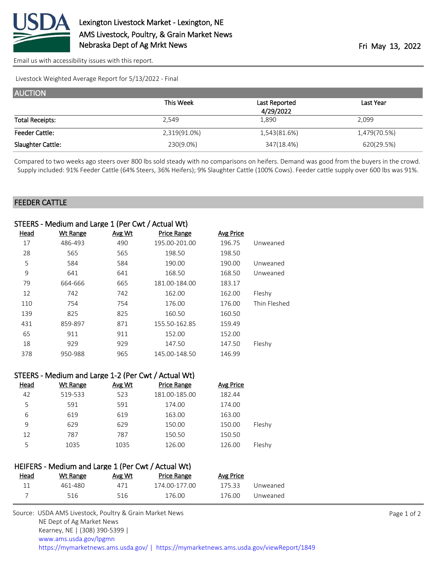

[Email us with accessibility issues with this report.](mailto:mars@ams.usda.gov?subject=508%20issue)

Livestock Weighted Average Report for 5/13/2022 - Final

| <b>AUCTION</b>         |              |               |              |
|------------------------|--------------|---------------|--------------|
|                        | This Week    | Last Reported | Last Year    |
|                        |              | 4/29/2022     |              |
| <b>Total Receipts:</b> | 2,549        | 1,890         | 2,099        |
| <b>Feeder Cattle:</b>  | 2,319(91.0%) | 1,543(81.6%)  | 1,479(70.5%) |
| Slaughter Cattle:      | 230(9.0%)    | 347(18.4%)    | 620(29.5%)   |

Compared to two weeks ago steers over 800 lbs sold steady with no comparisons on heifers. Demand was good from the buyers in the crowd. Supply included: 91% Feeder Cattle (64% Steers, 36% Heifers); 9% Slaughter Cattle (100% Cows). Feeder cattle supply over 600 lbs was 91%.

## FEEDER CATTLE

|      | STEERS - Medium and Large 1 (Per Cwt / Actual Wt) |        |                    |                  |              |
|------|---------------------------------------------------|--------|--------------------|------------------|--------------|
| Head | <b>Wt Range</b>                                   | Avg Wt | <b>Price Range</b> | <b>Avg Price</b> |              |
| 17   | 486-493                                           | 490    | 195.00-201.00      | 196.75           | Unweaned     |
| 28   | 565                                               | 565    | 198.50             | 198.50           |              |
| 5    | 584                                               | 584    | 190.00             | 190.00           | Unweaned     |
| 9    | 641                                               | 641    | 168.50             | 168.50           | Unweaned     |
| 79   | 664-666                                           | 665    | 181.00-184.00      | 183.17           |              |
| 12   | 742                                               | 742    | 162.00             | 162.00           | Fleshy       |
| 110  | 754                                               | 754    | 176.00             | 176.00           | Thin Fleshed |
| 139  | 825                                               | 825    | 160.50             | 160.50           |              |
| 431  | 859-897                                           | 871    | 155.50-162.85      | 159.49           |              |
| 65   | 911                                               | 911    | 152.00             | 152.00           |              |
| 18   | 929                                               | 929    | 147.50             | 147.50           | Fleshy       |
| 378  | 950-988                                           | 965    | 145.00-148.50      | 146.99           |              |
|      |                                                   |        |                    |                  |              |

|             | STEERS - Medium and Large 1-2 (Per Cwt / Actual Wt) |        |                    |           |        |
|-------------|-----------------------------------------------------|--------|--------------------|-----------|--------|
| <b>Head</b> | <b>Wt Range</b>                                     | Avg Wt | <b>Price Range</b> | Avg Price |        |
| 42          | 519-533                                             | 523    | 181.00-185.00      | 182.44    |        |
| 5           | 591                                                 | 591    | 174.00             | 174.00    |        |
| 6           | 619                                                 | 619    | 163.00             | 163.00    |        |
| 9           | 629                                                 | 629    | 150.00             | 150.00    | Fleshy |
| 12          | 787                                                 | 787    | 150.50             | 150.50    |        |
| 5           | 1035                                                | 1035   | 126.00             | 126.00    | Fleshy |
|             |                                                     |        |                    |           |        |

|      | HEIFERS - Medium and Large 1 (Per Cwt / Actual Wt) |        |               |           |          |
|------|----------------------------------------------------|--------|---------------|-----------|----------|
| Head | Wt Range                                           | Avg Wt | Price Range   | Avg Price |          |
| 11   | 461-480                                            | 471    | 174.00-177.00 | 175.33    | Unweaned |
|      | 516                                                | 516    | 176.00        | 176.00    | Unweaned |